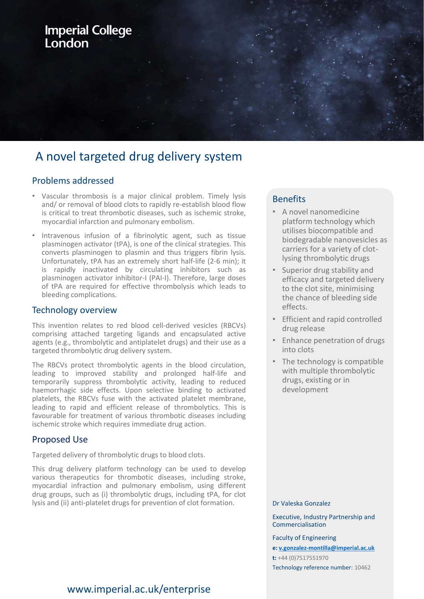# **Imperial College** London

# A novel targeted drug delivery system

### Problems addressed

- Vascular thrombosis is a major clinical problem. Timely lysis and/ or removal of blood clots to rapidly re-establish blood flow is critical to treat thrombotic diseases, such as ischemic stroke, myocardial infarction and pulmonary embolism.
- Intravenous infusion of a fibrinolytic agent, such as tissue plasminogen activator (tPA), is one of the clinical strategies. This converts plasminogen to plasmin and thus triggers fibrin lysis. Unfortunately, tPA has an extremely short half-life (2-6 min); it is rapidly inactivated by circulating inhibitors such as plasminogen activator inhibitor-I (PAI-I). Therefore, large doses of tPA are required for effective thrombolysis which leads to bleeding complications.

#### Technology overview

This invention relates to red blood cell-derived vesicles (RBCVs) comprising attached targeting ligands and encapsulated active agents (e.g., thrombolytic and antiplatelet drugs) and their use as a targeted thrombolytic drug delivery system.

The RBCVs protect thrombolytic agents in the blood circulation, leading to improved stability and prolonged half-life and temporarily suppress thrombolytic activity, leading to reduced haemorrhagic side effects. Upon selective binding to activated platelets, the RBCVs fuse with the activated platelet membrane, leading to rapid and efficient release of thrombolytics. This is favourable for treatment of various thrombotic diseases including ischemic stroke which requires immediate drug action.

### Proposed Use

Targeted delivery of thrombolytic drugs to blood clots.

This drug delivery platform technology can be used to develop various therapeutics for thrombotic diseases, including stroke, myocardial infraction and pulmonary embolism, using different drug groups, such as (i) thrombolytic drugs, including tPA, for clot lysis and (ii) anti-platelet drugs for prevention of clot formation.

## **Benefits**

- A novel nanomedicine platform technology which utilises biocompatible and biodegradable nanovesicles as carriers for a variety of clotlysing thrombolytic drugs
- Superior drug stability and efficacy and targeted delivery to the clot site, minimising the chance of bleeding side effects.
- Efficient and rapid controlled drug release
- Enhance penetration of drugs into clots
- The technology is compatible with multiple thrombolytic drugs, existing or in development

#### Dr Valeska Gonzalez

Executive, Industry Partnership and Commercialisation

Faculty of Engineering **e: [v.gonzalez-montilla@imperial.ac.uk](mailto:v.gonzalez-montilla@imperial.ac.uk) t:** +44 (0)7517551970 Technology reference number: 10462

## www.imperial.ac.uk/enterprise